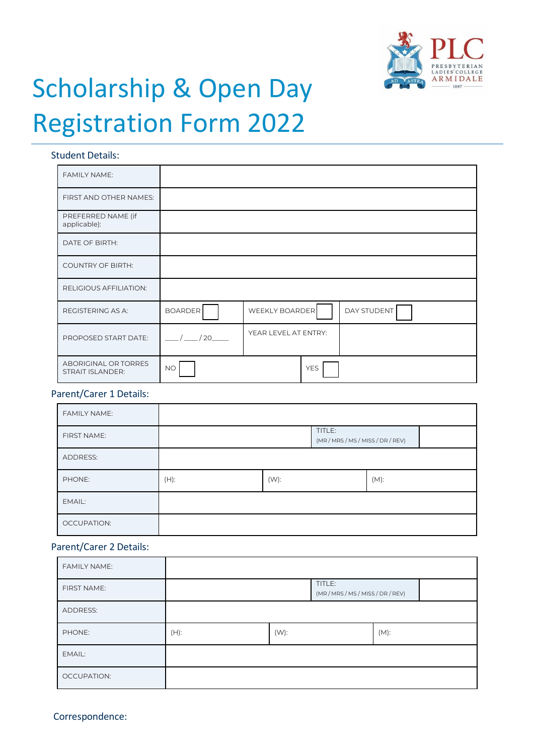

# Scholarship & Open Day Registration Form 2022

#### Student Details:

| <b>FAMILY NAME:</b>                             |                |                       |                    |
|-------------------------------------------------|----------------|-----------------------|--------------------|
| FIRST AND OTHER NAMES:                          |                |                       |                    |
| PREFERRED NAME (if<br>applicable):              |                |                       |                    |
| DATE OF BIRTH:                                  |                |                       |                    |
| <b>COUNTRY OF BIRTH:</b>                        |                |                       |                    |
| RELIGIOUS AFFILIATION:                          |                |                       |                    |
| REGISTERING AS A:                               | <b>BOARDER</b> | <b>WEEKLY BOARDER</b> | <b>DAY STUDENT</b> |
| PROPOSED START DATE:                            | / 20           | YEAR LEVEL AT ENTRY:  |                    |
| ABORIGINAL OR TORRES<br><b>STRAIT ISLANDER:</b> | <b>NO</b>      | <b>YES</b>            |                    |

### Parent/Carer 1 Details:

| <b>FAMILY NAME:</b> |      |         |                                             |         |  |
|---------------------|------|---------|---------------------------------------------|---------|--|
| FIRST NAME:         |      |         | TITLE:<br>(MR / MRS / MS / MISS / DR / REV) |         |  |
| <b>ADDRESS:</b>     |      |         |                                             |         |  |
| PHONE:              | (H): | $(W)$ : |                                             | $(M)$ : |  |
| EMAIL:              |      |         |                                             |         |  |
| <b>OCCUPATION:</b>  |      |         |                                             |         |  |

## Parent/Carer 2 Details:

| <b>FAMILY NAME:</b> |      |         |                                             |         |
|---------------------|------|---------|---------------------------------------------|---------|
| FIRST NAME:         |      |         | TITLE:<br>(MR / MRS / MS / MISS / DR / REV) |         |
| <b>ADDRESS:</b>     |      |         |                                             |         |
| PHONE:              | (H): | $(W)$ : |                                             | $(M)$ : |
| EMAIL:              |      |         |                                             |         |
| OCCUPATION:         |      |         |                                             |         |